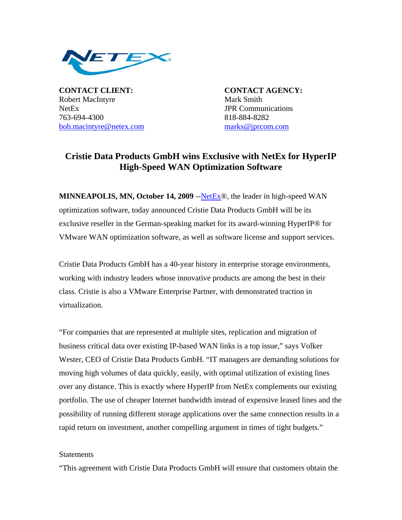

**CONTACT CLIENT: CONTACT AGENCY:** Robert MacIntyre Mark Smith NetEx JPR Communications 763-694-4300 818-884-8282 bob.macintyre@netex.com marks@jprcom.com

## **Cristie Data Products GmbH wins Exclusive with NetEx for HyperIP High-Speed WAN Optimization Software**

**MINNEAPOLIS, MN, October 14, 2009** --NetEx®, the leader in high-speed WAN optimization software, today announced Cristie Data Products GmbH will be its exclusive reseller in the German-speaking market for its award-winning HyperIP® for VMware WAN optimization software, as well as software license and support services.

Cristie Data Products GmbH has a 40-year history in enterprise storage environments, working with industry leaders whose innovative products are among the best in their class. Cristie is also a VMware Enterprise Partner, with demonstrated traction in virtualization.

"For companies that are represented at multiple sites, replication and migration of business critical data over existing IP-based WAN links is a top issue," says Volker Wester, CEO of Cristie Data Products GmbH. "IT managers are demanding solutions for moving high volumes of data quickly, easily, with optimal utilization of existing lines over any distance. This is exactly where HyperIP from NetEx complements our existing portfolio. The use of cheaper Internet bandwidth instead of expensive leased lines and the possibility of running different storage applications over the same connection results in a rapid return on investment, another compelling argument in times of tight budgets."

## **Statements**

"This agreement with Cristie Data Products GmbH will ensure that customers obtain the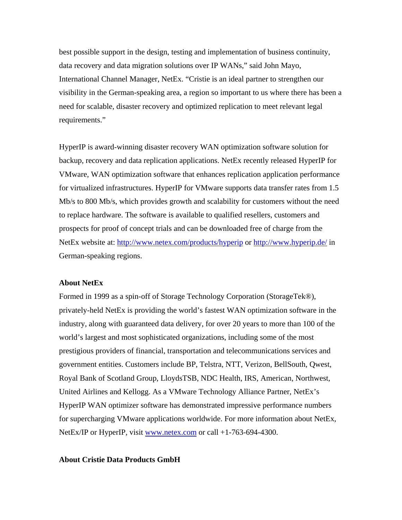best possible support in the design, testing and implementation of business continuity, data recovery and data migration solutions over IP WANs," said John Mayo, International Channel Manager, NetEx. "Cristie is an ideal partner to strengthen our visibility in the German-speaking area, a region so important to us where there has been a need for scalable, disaster recovery and optimized replication to meet relevant legal requirements."

HyperIP is award-winning disaster recovery WAN optimization software solution for backup, recovery and data replication applications. NetEx recently released HyperIP for VMware, WAN optimization software that enhances replication application performance for virtualized infrastructures. HyperIP for VMware supports data transfer rates from 1.5 Mb/s to 800 Mb/s, which provides growth and scalability for customers without the need to replace hardware. The software is available to qualified resellers, customers and prospects for proof of concept trials and can be downloaded free of charge from the NetEx website at: http://www.netex.com/products/hyperip or http://www.hyperip.de/ in German-speaking regions.

## **About NetEx**

Formed in 1999 as a spin-off of Storage Technology Corporation (StorageTek®), privately-held NetEx is providing the world's fastest WAN optimization software in the industry, along with guaranteed data delivery, for over 20 years to more than 100 of the world's largest and most sophisticated organizations, including some of the most prestigious providers of financial, transportation and telecommunications services and government entities. Customers include BP, Telstra, NTT, Verizon, BellSouth, Qwest, Royal Bank of Scotland Group, LloydsTSB, NDC Health, IRS, American, Northwest, United Airlines and Kellogg. As a VMware Technology Alliance Partner, NetEx's HyperIP WAN optimizer software has demonstrated impressive performance numbers for supercharging VMware applications worldwide. For more information about NetEx, NetEx/IP or HyperIP, visit www.netex.com or call +1-763-694-4300.

## **About Cristie Data Products GmbH**